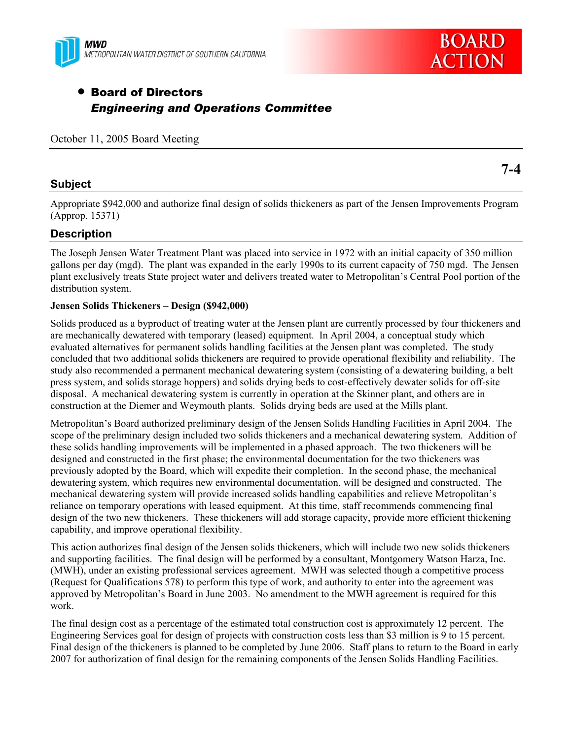



**7-4** 

# • Board of Directors *Engineering and Operations Committee*

October 11, 2005 Board Meeting

## **Subject**

Appropriate \$942,000 and authorize final design of solids thickeners as part of the Jensen Improvements Program

(Approp. 15371)

# **Description**

The Joseph Jensen Water Treatment Plant was placed into service in 1972 with an initial capacity of 350 million gallons per day (mgd). The plant was expanded in the early 1990s to its current capacity of 750 mgd. The Jensen plant exclusively treats State project water and delivers treated water to Metropolitan's Central Pool portion of the distribution system.

## **Jensen Solids Thickeners – Design (\$942,000)**

Solids produced as a byproduct of treating water at the Jensen plant are currently processed by four thickeners and are mechanically dewatered with temporary (leased) equipment. In April 2004, a conceptual study which evaluated alternatives for permanent solids handling facilities at the Jensen plant was completed. The study concluded that two additional solids thickeners are required to provide operational flexibility and reliability. The study also recommended a permanent mechanical dewatering system (consisting of a dewatering building, a belt press system, and solids storage hoppers) and solids drying beds to cost-effectively dewater solids for off-site disposal. A mechanical dewatering system is currently in operation at the Skinner plant, and others are in construction at the Diemer and Weymouth plants. Solids drying beds are used at the Mills plant.

Metropolitan's Board authorized preliminary design of the Jensen Solids Handling Facilities in April 2004. The scope of the preliminary design included two solids thickeners and a mechanical dewatering system. Addition of these solids handling improvements will be implemented in a phased approach. The two thickeners will be designed and constructed in the first phase; the environmental documentation for the two thickeners was previously adopted by the Board, which will expedite their completion. In the second phase, the mechanical dewatering system, which requires new environmental documentation, will be designed and constructed. The mechanical dewatering system will provide increased solids handling capabilities and relieve Metropolitan's reliance on temporary operations with leased equipment. At this time, staff recommends commencing final design of the two new thickeners. These thickeners will add storage capacity, provide more efficient thickening capability, and improve operational flexibility.

This action authorizes final design of the Jensen solids thickeners, which will include two new solids thickeners and supporting facilities. The final design will be performed by a consultant, Montgomery Watson Harza, Inc. (MWH), under an existing professional services agreement. MWH was selected though a competitive process (Request for Qualifications 578) to perform this type of work, and authority to enter into the agreement was approved by Metropolitan's Board in June 2003. No amendment to the MWH agreement is required for this work.

The final design cost as a percentage of the estimated total construction cost is approximately 12 percent. The Engineering Services goal for design of projects with construction costs less than \$3 million is 9 to 15 percent. Final design of the thickeners is planned to be completed by June 2006. Staff plans to return to the Board in early 2007 for authorization of final design for the remaining components of the Jensen Solids Handling Facilities.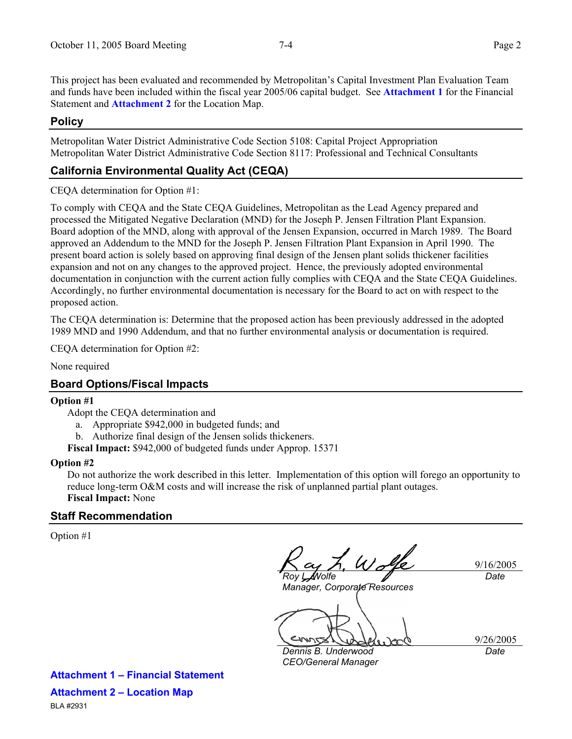This project has been evaluated and recommended by Metropolitan's Capital Investment Plan Evaluation Team and funds have been included within the fiscal year 2005/06 capital budget. See **Attachment 1** for the Financial Statement and **Attachment 2** for the Location Map.

### **Policy**

Metropolitan Water District Administrative Code Section 5108: Capital Project Appropriation Metropolitan Water District Administrative Code Section 8117: Professional and Technical Consultants

## **California Environmental Quality Act (CEQA)**

CEQA determination for Option #1:

To comply with CEQA and the State CEQA Guidelines, Metropolitan as the Lead Agency prepared and processed the Mitigated Negative Declaration (MND) for the Joseph P. Jensen Filtration Plant Expansion. Board adoption of the MND, along with approval of the Jensen Expansion, occurred in March 1989. The Board approved an Addendum to the MND for the Joseph P. Jensen Filtration Plant Expansion in April 1990. The present board action is solely based on approving final design of the Jensen plant solids thickener facilities expansion and not on any changes to the approved project. Hence, the previously adopted environmental documentation in conjunction with the current action fully complies with CEQA and the State CEQA Guidelines. Accordingly, no further environmental documentation is necessary for the Board to act on with respect to the proposed action.

The CEQA determination is: Determine that the proposed action has been previously addressed in the adopted 1989 MND and 1990 Addendum, and that no further environmental analysis or documentation is required.

CEQA determination for Option #2:

None required

#### **Board Options/Fiscal Impacts**

#### **Option #1**

- Adopt the CEQA determination and
	- a. Appropriate \$942,000 in budgeted funds; and
	- b. Authorize final design of the Jensen solids thickeners.

**Fiscal Impact:** \$942,000 of budgeted funds under Approp. 15371

#### **Option #2**

Do not authorize the work described in this letter. Implementation of this option will forego an opportunity to reduce long-term O&M costs and will increase the risk of unplanned partial plant outages. **Fiscal Impact:** None

#### **Staff Recommendation**

Option #1

*Roy L. Wolfe* 

9/16/2005 *Date* 

*Manager, Corporate Resources* 

9/26/2005 *Date* 

*Dennis B. Underwood CEO/General Manager* 

**Attachment 1 – Financial Statement Attachment 2 – Location Map** BLA #2931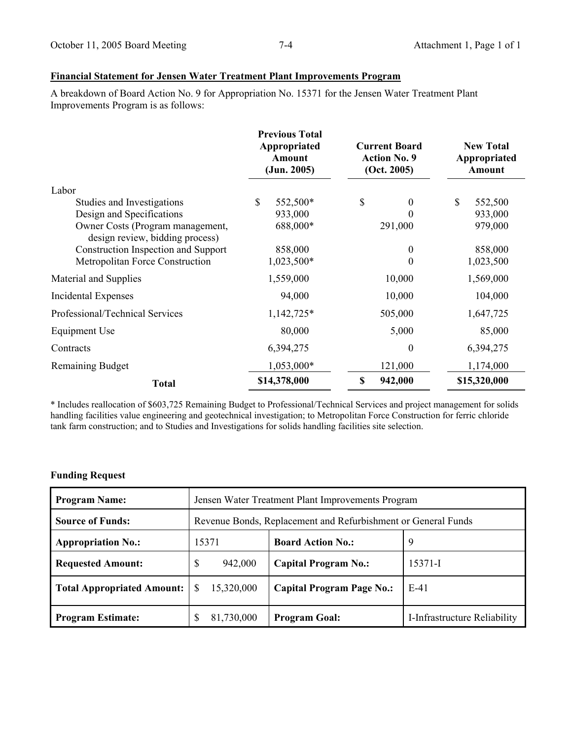# **Financial Statement for Jensen Water Treatment Plant Improvements Program**

A breakdown of Board Action No. 9 for Appropriation No. 15371 for the Jensen Water Treatment Plant Improvements Program is as follows:

|                                                                     | <b>Previous Total</b><br><b>Current Board</b><br>Appropriated<br><b>Action No. 9</b><br>Amount<br>(Jun. 2005)<br>(Oct. 2005) |                | <b>New Total</b><br>Appropriated<br><b>Amount</b> |
|---------------------------------------------------------------------|------------------------------------------------------------------------------------------------------------------------------|----------------|---------------------------------------------------|
| Labor                                                               |                                                                                                                              |                |                                                   |
| Studies and Investigations                                          | \$<br>552,500*                                                                                                               | \$<br>$\theta$ | \$<br>552,500                                     |
| Design and Specifications                                           | 933,000                                                                                                                      | 0              | 933,000                                           |
| Owner Costs (Program management,<br>design review, bidding process) | 688,000*                                                                                                                     | 291,000        | 979,000                                           |
| Construction Inspection and Support                                 | 858,000                                                                                                                      | $\theta$       | 858,000                                           |
| Metropolitan Force Construction                                     | 1,023,500*                                                                                                                   | $\Omega$       | 1,023,500                                         |
| Material and Supplies                                               | 1,559,000                                                                                                                    | 10,000         | 1,569,000                                         |
| Incidental Expenses                                                 | 94,000                                                                                                                       | 10,000         | 104,000                                           |
| Professional/Technical Services                                     | 1,142,725*                                                                                                                   | 505,000        | 1,647,725                                         |
| Equipment Use                                                       | 80,000                                                                                                                       | 5,000          | 85,000                                            |
| Contracts                                                           | 6,394,275                                                                                                                    | $\theta$       | 6,394,275                                         |
| <b>Remaining Budget</b>                                             | 1,053,000*                                                                                                                   | 121,000        | 1,174,000                                         |
| <b>Total</b>                                                        | \$14,378,000                                                                                                                 | \$<br>942,000  | \$15,320,000                                      |

\* Includes reallocation of \$603,725 Remaining Budget to Professional/Technical Services and project management for solids handling facilities value engineering and geotechnical investigation; to Metropolitan Force Construction for ferric chloride tank farm construction; and to Studies and Investigations for solids handling facilities site selection.

#### **Funding Request**

| <b>Program Name:</b>              | Jensen Water Treatment Plant Improvements Program             |                                  |                              |  |
|-----------------------------------|---------------------------------------------------------------|----------------------------------|------------------------------|--|
| <b>Source of Funds:</b>           | Revenue Bonds, Replacement and Refurbishment or General Funds |                                  |                              |  |
| <b>Appropriation No.:</b>         | 15371                                                         | <b>Board Action No.:</b>         | -9                           |  |
| <b>Requested Amount:</b>          | \$<br>942,000                                                 | <b>Capital Program No.:</b>      | 15371-I                      |  |
| <b>Total Appropriated Amount:</b> | 15,320,000<br>\$                                              | <b>Capital Program Page No.:</b> | $E-41$                       |  |
| <b>Program Estimate:</b>          | 81,730,000<br>S                                               | <b>Program Goal:</b>             | I-Infrastructure Reliability |  |